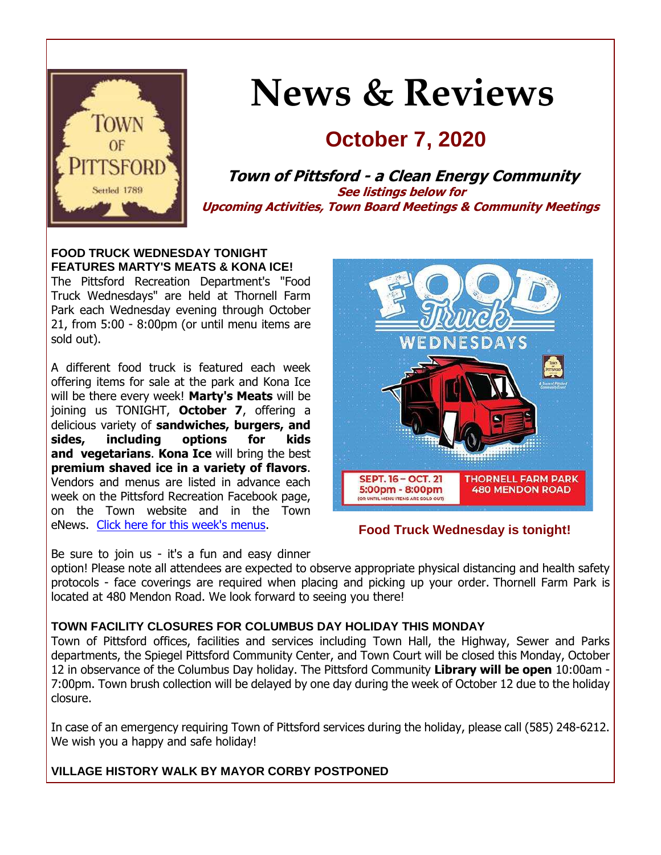

# **News & Reviews**

# **October 7, 2020**

**Town of Pittsford - a Clean Energy Community See listings below for Upcoming Activities, Town Board Meetings & Community Meetings**

#### **FOOD TRUCK WEDNESDAY TONIGHT FEATURES MARTY'S MEATS & KONA ICE!**

The Pittsford Recreation Department's "Food Truck Wednesdays" are held at Thornell Farm Park each Wednesday evening through October 21, from 5:00 - 8:00pm (or until menu items are sold out).

A different food truck is featured each week offering items for sale at the park and Kona Ice will be there every week! **Marty's Meats** will be joining us TONIGHT, **October 7**, offering a delicious variety of **sandwiches, burgers, and sides, including options for kids and vegetarians**. **Kona Ice** will bring the best **premium shaved ice in a variety of flavors**. Vendors and menus are listed in advance each week on the Pittsford Recreation Facebook page, on the Town website and in the Town eNews. [Click here for this week's menus.](http://r20.rs6.net/tn.jsp?f=001qlQZPfoHCW1xXDq_IeVlvZRXjx5gV7h-pSffLpKKkJAdgCV3LUbmGAul3OjqYjDneQDoCrEJjVLlJLN9Px5SLfWtuKLHoqVxebdpPsNz6pwbOjQd3jNu-tCLzlsQSwHvO6KZx2k-0r-9ecH4cI3ud_XMwNfyQdTQeyJmB6-7JM4h4Ah43_KhBD4Gve8b8EJMI0hJsq7wdf23EuNcR7ITVe6EC49IhkJsFKxW1Skng-OepfDHVrFgMS0e-jM85ZoSfYW-bqdF_QMNuYkK3kHQvWKyYIpzzX9pEtndd0bPGNd9X1RaxZjUwyyVHpg89FObgYouT_K8YsTX0tbkYuqS7_1mLTzJq9Y42wLUFP-Siiixb8lCM2RpOr03jwwfNqa6&c=_T1CWrkKXxsixnCj4x-CFnCvw8u8LcB70kcUjERxFVonA27sbzmDsA==&ch=p6Pgl45WiMeuQAxbQCatoM31VhALCDBz8HxpaRCxc-a67IhheIx4Ug==)



# **Food Truck Wednesday is tonight!**

Be sure to join us - it's a fun and easy dinner

option! Please note all attendees are expected to observe appropriate physical distancing and health safety protocols - face coverings are required when placing and picking up your order. Thornell Farm Park is located at 480 Mendon Road. We look forward to seeing you there!

# **TOWN FACILITY CLOSURES FOR COLUMBUS DAY HOLIDAY THIS MONDAY**

Town of Pittsford offices, facilities and services including Town Hall, the Highway, Sewer and Parks departments, the Spiegel Pittsford Community Center, and Town Court will be closed this Monday, October 12 in observance of the Columbus Day holiday. The Pittsford Community **Library will be open** 10:00am - 7:00pm. Town brush collection will be delayed by one day during the week of October 12 due to the holiday closure.

In case of an emergency requiring Town of Pittsford services during the holiday, please call (585) 248-6212. We wish you a happy and safe holiday!

# **VILLAGE HISTORY WALK BY MAYOR CORBY POSTPONED**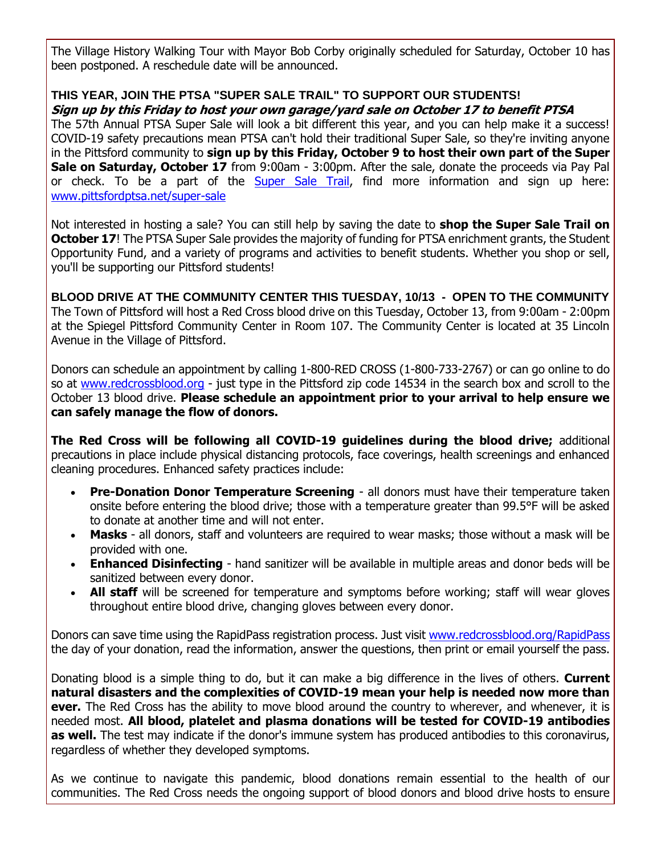The Village History Walking Tour with Mayor Bob Corby originally scheduled for Saturday, October 10 has been postponed. A reschedule date will be announced.

#### **THIS YEAR, JOIN THE PTSA "SUPER SALE TRAIL" TO SUPPORT OUR STUDENTS! Sign up by this Friday to host your own garage/yard sale on October 17 to benefit PTSA**

The 57th Annual PTSA Super Sale will look a bit different this year, and you can help make it a success! COVID-19 safety precautions mean PTSA can't hold their traditional Super Sale, so they're inviting anyone in the Pittsford community to **sign up by this Friday, October 9 to host their own part of the Super Sale on Saturday, October 17** from 9:00am - 3:00pm. After the sale, donate the proceeds via Pay Pal or check. To be a part of the [Super Sale Trail,](http://r20.rs6.net/tn.jsp?f=001qlQZPfoHCW1xXDq_IeVlvZRXjx5gV7h-pSffLpKKkJAdgCV3LUbmGBATRrnVt0FhJsmV6RdOR0TXbUQFRhB1hPhPCEnoV6P0NHb_bUa31wvyO72PzTZmND88qPVQgnwSKxD_mqi_ot2f4DnSIC9T8PBN_3SfxbjYN9eP9vd_r_GdltBw_8zwCo2o_ftaKqbqWgBD8slfuPJvKyOL5Ljxuh-o2EqIy1DM6calpNaKGCi-Hcr2cixrX8mRJAx_hoJj3yZM7CLd6KTO4gXcbJHodtkRRMdNlGjh2erzjLd71hr85R7_5rL_oA==&c=_T1CWrkKXxsixnCj4x-CFnCvw8u8LcB70kcUjERxFVonA27sbzmDsA==&ch=p6Pgl45WiMeuQAxbQCatoM31VhALCDBz8HxpaRCxc-a67IhheIx4Ug==) find more information and sign up here: [www.pittsfordptsa.net/super-sale](http://r20.rs6.net/tn.jsp?f=001qlQZPfoHCW1xXDq_IeVlvZRXjx5gV7h-pSffLpKKkJAdgCV3LUbmGBATRrnVt0FhJsmV6RdOR0TXbUQFRhB1hPhPCEnoV6P0NHb_bUa31wvyO72PzTZmND88qPVQgnwSKxD_mqi_ot2f4DnSIC9T8PBN_3SfxbjYN9eP9vd_r_GdltBw_8zwCo2o_ftaKqbqWgBD8slfuPJvKyOL5Ljxuh-o2EqIy1DM6calpNaKGCi-Hcr2cixrX8mRJAx_hoJj3yZM7CLd6KTO4gXcbJHodtkRRMdNlGjh2erzjLd71hr85R7_5rL_oA==&c=_T1CWrkKXxsixnCj4x-CFnCvw8u8LcB70kcUjERxFVonA27sbzmDsA==&ch=p6Pgl45WiMeuQAxbQCatoM31VhALCDBz8HxpaRCxc-a67IhheIx4Ug==)

Not interested in hosting a sale? You can still help by saving the date to **shop the Super Sale Trail on October 17!** The PTSA Super Sale provides the majority of funding for PTSA enrichment grants, the Student Opportunity Fund, and a variety of programs and activities to benefit students. Whether you shop or sell, you'll be supporting our Pittsford students!

**BLOOD DRIVE AT THE COMMUNITY CENTER THIS TUESDAY, 10/13 - OPEN TO THE COMMUNITY** The Town of Pittsford will host a Red Cross blood drive on this Tuesday, October 13, from 9:00am - 2:00pm at the Spiegel Pittsford Community Center in Room 107. The Community Center is located at 35 Lincoln Avenue in the Village of Pittsford.

Donors can schedule an appointment by calling 1-800-RED CROSS (1-800-733-2767) or can go online to do so at [www.redcrossblood.org](http://r20.rs6.net/tn.jsp?f=001qlQZPfoHCW1xXDq_IeVlvZRXjx5gV7h-pSffLpKKkJAdgCV3LUbmGPvYaQzkzA1qqE36jDFDe0-b0gppEjGlVojOVL5Wr_M21QxD0yCODvk6cQ60AolFlVybZ_O7K3RkwI1KBGHz3dq9Hs7BgO3rh_I-CIpuJLLGSDm_auZuAusNfAv3jvXygfcxdBENE0m9XGiPr3dmbOevGciovQUlQq8YSIuRcne0gxXJ6DZkOFTLPl-ciIHGKOjz_g2N-Fk3y5W4g7eytMxNkLYYlIJx2HmwBTaNaEpmixex-C8ejho=&c=_T1CWrkKXxsixnCj4x-CFnCvw8u8LcB70kcUjERxFVonA27sbzmDsA==&ch=p6Pgl45WiMeuQAxbQCatoM31VhALCDBz8HxpaRCxc-a67IhheIx4Ug==) - just type in the Pittsford zip code 14534 in the search box and scroll to the October 13 blood drive. **Please schedule an appointment prior to your arrival to help ensure we can safely manage the flow of donors.**

**The Red Cross will be following all COVID-19 guidelines during the blood drive;** additional precautions in place include physical distancing protocols, face coverings, health screenings and enhanced cleaning procedures. Enhanced safety practices include:

- **Pre-Donation Donor Temperature Screening** all donors must have their temperature taken onsite before entering the blood drive; those with a temperature greater than 99.5°F will be asked to donate at another time and will not enter.
- **Masks** all donors, staff and volunteers are required to wear masks; those without a mask will be provided with one.
- **Enhanced Disinfecting** hand sanitizer will be available in multiple areas and donor beds will be sanitized between every donor.
- **All staff** will be screened for temperature and symptoms before working; staff will wear gloves throughout entire blood drive, changing gloves between every donor.

Donors can save time using the RapidPass registration process. Just visit [www.redcrossblood.org/RapidPass](http://r20.rs6.net/tn.jsp?f=001qlQZPfoHCW1xXDq_IeVlvZRXjx5gV7h-pSffLpKKkJAdgCV3LUbmGN4qEoVzNo3XuTgUO42MQYQ2dzXGIcAj2Iv-ceN6xkZAij2NaxXMngPfBdEat12WOFpGGRQ-L8NY82nHjkp3mwrFTpJZh8aWMCVg7a0JcjEzwx42htFkHvBA7fXcFqgTMH4NoatxACW3ey_2k0pND9kqQSv-3L1ET9jJtfchMeaIFZpSS3f0vM-Dh4Pdq7YNi4r0IY6izAfWpxP9fTe92BiBRYwBB_lemSrJoFSmkpxZ61Y3ecTQRaieP9xRCPoOPw==&c=_T1CWrkKXxsixnCj4x-CFnCvw8u8LcB70kcUjERxFVonA27sbzmDsA==&ch=p6Pgl45WiMeuQAxbQCatoM31VhALCDBz8HxpaRCxc-a67IhheIx4Ug==) the day of your donation, read the information, answer the questions, then print or email yourself the pass.

Donating blood is a simple thing to do, but it can make a big difference in the lives of others. **Current natural disasters and the complexities of COVID-19 mean your help is needed now more than ever.** The Red Cross has the ability to move blood around the country to wherever, and whenever, it is needed most. **All blood, platelet and plasma donations will be tested for COVID-19 antibodies as well.** The test may indicate if the donor's immune system has produced antibodies to this coronavirus, regardless of whether they developed symptoms.

As we continue to navigate this pandemic, blood donations remain essential to the health of our communities. The Red Cross needs the ongoing support of blood donors and blood drive hosts to ensure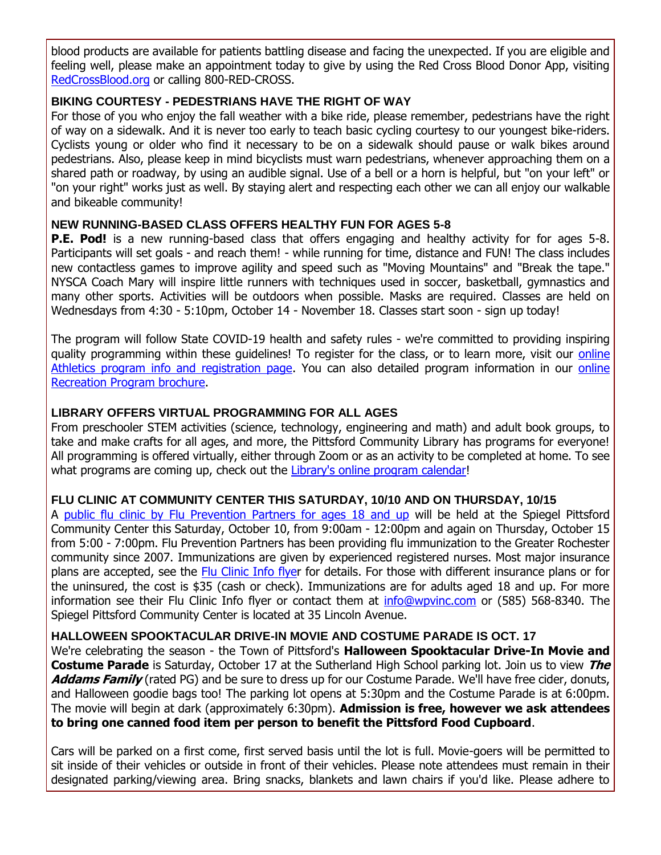blood products are available for patients battling disease and facing the unexpected. If you are eligible and feeling well, please make an appointment today to give by using the Red Cross Blood Donor App, visiting [RedCrossBlood.org](http://r20.rs6.net/tn.jsp?f=001qlQZPfoHCW1xXDq_IeVlvZRXjx5gV7h-pSffLpKKkJAdgCV3LUbmGAGc6CubnKvlDaDqZ-Fnp1Umatuedf75-XGLqAh5i05zNDfVPnid1BldufgZGrUKunwA0IzK3y7aY-lhvcMoodpro01YY1FfDr-4nYjGdEm0qflC5sHXKAxl5wrQjDvN5bkrtPZxjG5aXojLgoLd88-e1ycCjRf4H-dU60E73hy3ryyGXBqkZKSuD2dCkpVA7pOcE83fUI6x9KGhv_f9bhBwdaUsyVdirqPAk1vKDEE8&c=_T1CWrkKXxsixnCj4x-CFnCvw8u8LcB70kcUjERxFVonA27sbzmDsA==&ch=p6Pgl45WiMeuQAxbQCatoM31VhALCDBz8HxpaRCxc-a67IhheIx4Ug==) or calling 800-RED-CROSS.

#### **BIKING COURTESY - PEDESTRIANS HAVE THE RIGHT OF WAY**

For those of you who enjoy the fall weather with a bike ride, please remember, pedestrians have the right of way on a sidewalk. And it is never too early to teach basic cycling courtesy to our youngest bike-riders. Cyclists young or older who find it necessary to be on a sidewalk should pause or walk bikes around pedestrians. Also, please keep in mind bicyclists must warn pedestrians, whenever approaching them on a shared path or roadway, by using an audible signal. Use of a bell or a horn is helpful, but "on your left" or "on your right" works just as well. By staying alert and respecting each other we can all enjoy our walkable and bikeable community!

#### **NEW RUNNING-BASED CLASS OFFERS HEALTHY FUN FOR AGES 5-8**

**P.E. Pod!** is a new running-based class that offers engaging and healthy activity for for ages 5-8. Participants will set goals - and reach them! - while running for time, distance and FUN! The class includes new contactless games to improve agility and speed such as "Moving Mountains" and "Break the tape." NYSCA Coach Mary will inspire little runners with techniques used in soccer, basketball, gymnastics and many other sports. Activities will be outdoors when possible. Masks are required. Classes are held on Wednesdays from 4:30 - 5:10pm, October 14 - November 18. Classes start soon - sign up today!

The program will follow State COVID-19 health and safety rules - we're committed to providing inspiring quality programming within these guidelines! To register for the class, or to learn more, visit our *online* [Athletics program info and registration page.](http://r20.rs6.net/tn.jsp?f=001qlQZPfoHCW1xXDq_IeVlvZRXjx5gV7h-pSffLpKKkJAdgCV3LUbmGN2hIPnDSVbIPDPyY1HlvEV6CD-QVHFQkl2AK4roCoLPSWQ39c5IvM2kzVMyDupVhqRpBInLGK1jgDF5-uQqw3RRLH_C8hktDInQonHfuqYxXhtE6CsWWXBU5fq2M24lxyQWZUhHo_dNn_oPVErhM_KUneSpZt3o5c7oPLl0iG6IOJniIl7ASXJi15jKJFmfRW54OOvJBhLx9sXbajNrPfHm1iMHTtfOysFM8FGLPu2B1b8wvpJx5U88mD9B5GbZTOnP-JgOAUGyVZALk0d561RPp31zrrIOcQrPUiojLycQpWtcY3faGed2aIpk92ugZfKefP3AcXoSVPmcwf82eDozYBea2AyE95NFREF4uN9FvoVcstKoqtbgi-ncwoJoZfOH-gp8QZ9B&c=_T1CWrkKXxsixnCj4x-CFnCvw8u8LcB70kcUjERxFVonA27sbzmDsA==&ch=p6Pgl45WiMeuQAxbQCatoM31VhALCDBz8HxpaRCxc-a67IhheIx4Ug==) You can also detailed program information in our [online](http://r20.rs6.net/tn.jsp?f=001qlQZPfoHCW1xXDq_IeVlvZRXjx5gV7h-pSffLpKKkJAdgCV3LUbmGDu3ZatiuPWF7B85k9j1YeWY6JsQc-LOp-kmgKC4HzAGT_9OzwzYfWpc1PDsVQWjtlJTbYe2MA6oOe9FlULJjWrZxrrlX_gEfDwyUKuGP6jq75zkEitFUigrgtaThKGmtKcC_dFOOjKfS2dkVpGyZDHCyRzCCgbEFWRVYOZRKJg8-i3vPud7m2UCbSUvlJeUzTvMhSpF-1S6ydGzmzagLlEkwPEuT4MugolDlL8kIl7GN7oPc6clD19cNHR-XOrufACt-90n0PuXfKkmFJ6-cXwiD74n3Ye74Q==&c=_T1CWrkKXxsixnCj4x-CFnCvw8u8LcB70kcUjERxFVonA27sbzmDsA==&ch=p6Pgl45WiMeuQAxbQCatoM31VhALCDBz8HxpaRCxc-a67IhheIx4Ug==)  [Recreation Program brochure.](http://r20.rs6.net/tn.jsp?f=001qlQZPfoHCW1xXDq_IeVlvZRXjx5gV7h-pSffLpKKkJAdgCV3LUbmGDu3ZatiuPWF7B85k9j1YeWY6JsQc-LOp-kmgKC4HzAGT_9OzwzYfWpc1PDsVQWjtlJTbYe2MA6oOe9FlULJjWrZxrrlX_gEfDwyUKuGP6jq75zkEitFUigrgtaThKGmtKcC_dFOOjKfS2dkVpGyZDHCyRzCCgbEFWRVYOZRKJg8-i3vPud7m2UCbSUvlJeUzTvMhSpF-1S6ydGzmzagLlEkwPEuT4MugolDlL8kIl7GN7oPc6clD19cNHR-XOrufACt-90n0PuXfKkmFJ6-cXwiD74n3Ye74Q==&c=_T1CWrkKXxsixnCj4x-CFnCvw8u8LcB70kcUjERxFVonA27sbzmDsA==&ch=p6Pgl45WiMeuQAxbQCatoM31VhALCDBz8HxpaRCxc-a67IhheIx4Ug==)

#### **LIBRARY OFFERS VIRTUAL PROGRAMMING FOR ALL AGES**

From preschooler STEM activities (science, technology, engineering and math) and adult book groups, to take and make crafts for all ages, and more, the Pittsford Community Library has programs for everyone! All programming is offered virtually, either through Zoom or as an activity to be completed at home. To see what programs are coming up, check out the [Library's online program calendar!](http://r20.rs6.net/tn.jsp?f=001qlQZPfoHCW1xXDq_IeVlvZRXjx5gV7h-pSffLpKKkJAdgCV3LUbmGAul3OjqYjDnb_KFlPwCtWmz8rvdbu27GVRW_FC2My3l7tZMBy5VzovHJUqT6AyF9nPCEpiz4sWoyEBYR5xQSSQF9I16wwfCBIZbFt_0S3Ht2VYCXbOL4JgJ_LFCuo2hGLmZsJ0Cn1bVj0xQ8_HodHBHuYNqKgqN1CdPuZnBvtPt4xdrLG9DLuqq-MEvulwtm1rXjads4oY6bL1Do2O0Lzv3KppT_8LAwaWK_UAdnBOJ56oPw1_0T7vhJJLemjNsSejh3r-QBiv5cxmGAT18VfGfDyPXOp0xU8S3V8O7ZEdso4jwONVjYl7yI6WcBfJHwTFVos5Sj4fNhVvKgeWqAs8LGDo6hhCs2cePxDyvpMFU&c=_T1CWrkKXxsixnCj4x-CFnCvw8u8LcB70kcUjERxFVonA27sbzmDsA==&ch=p6Pgl45WiMeuQAxbQCatoM31VhALCDBz8HxpaRCxc-a67IhheIx4Ug==)

#### **FLU CLINIC AT COMMUNITY CENTER THIS SATURDAY, 10/10 AND ON THURSDAY, 10/15**

A [public flu clinic by Flu Prevention Partners for ages 18 and up](http://r20.rs6.net/tn.jsp?f=001qlQZPfoHCW1xXDq_IeVlvZRXjx5gV7h-pSffLpKKkJAdgCV3LUbmGN2hIPnDSVbICufniruEmf0fUtRyr4JDJJ6ZW3E3W3AFJzZyWxXKuqWL9YbGpPmGmDViIuJNy9PfLJOPxzeffPR4qbpjKr1LG3KvHANtsHoyKYPb_w6swkBUOfLZ36u5J8JWbTh9_G5DDz3E-2rsp2j3-2jxuZL0qSdcgsJxyaCMABlCuxlvX7lYAJ98TKLdWiTGEU4x89JBCkzFEs7iXxg1T3v2LmvNd_ejAWPqZ1dwZfXHfHG6KcXogQZYQcxVdeZ53mQLiDT6vHshMTmavVtYgibDqJS8OaplP7n6se5r194qUdcX9BfvF1uk2ryY6M5y8lag3D-4CcfOVrrU1NPMTBlauJYfpTr3m_6_aFDkScQI4CX3cPStmp4QlPKer_fxBdQQdRr-t2tbChcwD6cOnId2QroZbaftv-hwfsgUK0c3PGavfbs=&c=_T1CWrkKXxsixnCj4x-CFnCvw8u8LcB70kcUjERxFVonA27sbzmDsA==&ch=p6Pgl45WiMeuQAxbQCatoM31VhALCDBz8HxpaRCxc-a67IhheIx4Ug==) will be held at the Spiegel Pittsford Community Center this Saturday, October 10, from 9:00am - 12:00pm and again on Thursday, October 15 from 5:00 - 7:00pm. Flu Prevention Partners has been providing flu immunization to the Greater Rochester community since 2007. Immunizations are given by experienced registered nurses. Most major insurance plans are accepted, see the [Flu Clinic Info flyer](http://r20.rs6.net/tn.jsp?f=001qlQZPfoHCW1xXDq_IeVlvZRXjx5gV7h-pSffLpKKkJAdgCV3LUbmGN2hIPnDSVbICufniruEmf0fUtRyr4JDJJ6ZW3E3W3AFJzZyWxXKuqWL9YbGpPmGmDViIuJNy9PfLJOPxzeffPR4qbpjKr1LG3KvHANtsHoyKYPb_w6swkBUOfLZ36u5J8JWbTh9_G5DDz3E-2rsp2j3-2jxuZL0qSdcgsJxyaCMABlCuxlvX7lYAJ98TKLdWiTGEU4x89JBCkzFEs7iXxg1T3v2LmvNd_ejAWPqZ1dwZfXHfHG6KcXogQZYQcxVdeZ53mQLiDT6vHshMTmavVtYgibDqJS8OaplP7n6se5r194qUdcX9BfvF1uk2ryY6M5y8lag3D-4CcfOVrrU1NPMTBlauJYfpTr3m_6_aFDkScQI4CX3cPStmp4QlPKer_fxBdQQdRr-t2tbChcwD6cOnId2QroZbaftv-hwfsgUK0c3PGavfbs=&c=_T1CWrkKXxsixnCj4x-CFnCvw8u8LcB70kcUjERxFVonA27sbzmDsA==&ch=p6Pgl45WiMeuQAxbQCatoM31VhALCDBz8HxpaRCxc-a67IhheIx4Ug==) for details. For those with different insurance plans or for the uninsured, the cost is \$35 (cash or check). Immunizations are for adults aged 18 and up. For more information see their Flu Clinic Info flyer or contact them at [info@wpvinc.com](mailto:info@wpvinc.com?subject=Flu%20Clinic%20info) or (585) 568-8340. The Spiegel Pittsford Community Center is located at 35 Lincoln Avenue.

#### **HALLOWEEN SPOOKTACULAR DRIVE-IN MOVIE AND COSTUME PARADE IS OCT. 17**

We're celebrating the season - the Town of Pittsford's **Halloween Spooktacular Drive-In Movie and Costume Parade** is Saturday, October 17 at the Sutherland High School parking lot. Join us to view **The Addams Family** (rated PG) and be sure to dress up for our Costume Parade. We'll have free cider, donuts, and Halloween goodie bags too! The parking lot opens at 5:30pm and the Costume Parade is at 6:00pm. The movie will begin at dark (approximately 6:30pm). **Admission is free, however we ask attendees to bring one canned food item per person to benefit the Pittsford Food Cupboard**.

Cars will be parked on a first come, first served basis until the lot is full. Movie-goers will be permitted to sit inside of their vehicles or outside in front of their vehicles. Please note attendees must remain in their designated parking/viewing area. Bring snacks, blankets and lawn chairs if you'd like. Please adhere to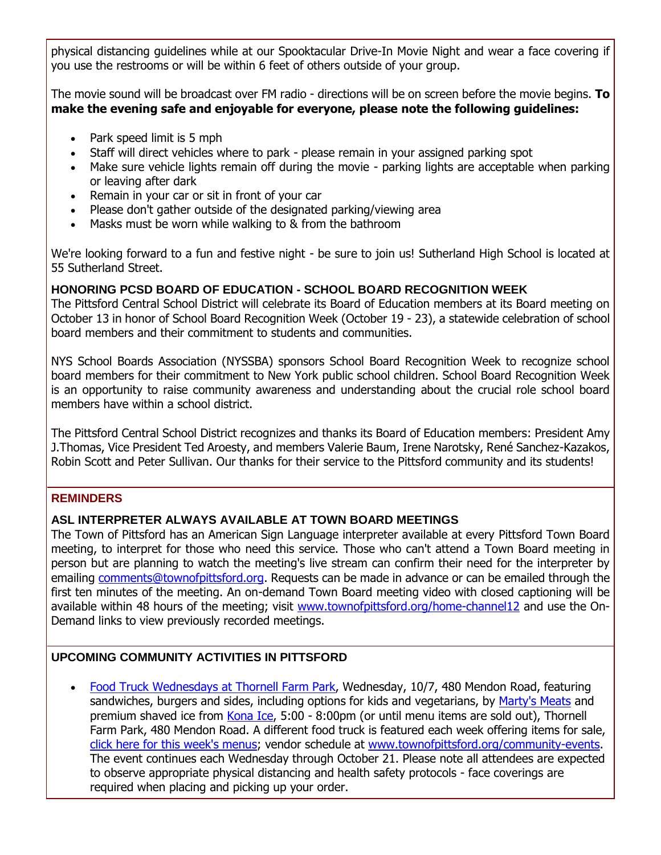physical distancing guidelines while at our Spooktacular Drive-In Movie Night and wear a face covering if you use the restrooms or will be within 6 feet of others outside of your group.

The movie sound will be broadcast over FM radio - directions will be on screen before the movie begins. **To make the evening safe and enjoyable for everyone, please note the following guidelines:**

- Park speed limit is 5 mph
- Staff will direct vehicles where to park please remain in your assigned parking spot
- Make sure vehicle lights remain off during the movie parking lights are acceptable when parking or leaving after dark
- Remain in your car or sit in front of your car
- Please don't gather outside of the designated parking/viewing area
- Masks must be worn while walking to & from the bathroom

We're looking forward to a fun and festive night - be sure to join us! Sutherland High School is located at 55 Sutherland Street.

#### **HONORING PCSD BOARD OF EDUCATION - SCHOOL BOARD RECOGNITION WEEK**

The Pittsford Central School District will celebrate its Board of Education members at its Board meeting on October 13 in honor of School Board Recognition Week (October 19 - 23), a statewide celebration of school board members and their commitment to students and communities.

NYS School Boards Association (NYSSBA) sponsors School Board Recognition Week to recognize school board members for their commitment to New York public school children. School Board Recognition Week is an opportunity to raise community awareness and understanding about the crucial role school board members have within a school district.

The Pittsford Central School District recognizes and thanks its Board of Education members: President Amy J.Thomas, Vice President Ted Aroesty, and members Valerie Baum, Irene Narotsky, René Sanchez-Kazakos, Robin Scott and Peter Sullivan. Our thanks for their service to the Pittsford community and its students!

#### **REMINDERS**

#### **ASL INTERPRETER ALWAYS AVAILABLE AT TOWN BOARD MEETINGS**

The Town of Pittsford has an American Sign Language interpreter available at every Pittsford Town Board meeting, to interpret for those who need this service. Those who can't attend a Town Board meeting in person but are planning to watch the meeting's live stream can confirm their need for the interpreter by emailing [comments@townofpittsford.org.](mailto:comments@townofpittsford.org?subject=ASL%20interperter%20request%20for%20Town%20Board%20meeting) Requests can be made in advance or can be emailed through the first ten minutes of the meeting. An on-demand Town Board meeting video with closed captioning will be available within 48 hours of the meeting; visit [www.townofpittsford.org/home-channel12](http://r20.rs6.net/tn.jsp?f=001qlQZPfoHCW1xXDq_IeVlvZRXjx5gV7h-pSffLpKKkJAdgCV3LUbmGEaRt3hpuw89NOfEaHOdLZEqOyZN_ygIqaWWfpHdm5RU_3jTqhJtJobE7pEGTgrNEdGyAj4aVGeZkLgPp_84NY1pyJ0NEk_FKTL0wlDfvTig6QFnhNBtRezbgedfSAy_bF_S5JayEGCWMM2RUaby3F7_S8Oy9FIWtlNiyPyEQzKQM_hOFAMQjy0OVdysyubyJR6jcz1xRg4rY_1qz0_Jmc1EUJ9HmUtDmzJRpRvaQtbekn6zZZw7e8yEiCWm9km-S3apVA_DzFMZ&c=_T1CWrkKXxsixnCj4x-CFnCvw8u8LcB70kcUjERxFVonA27sbzmDsA==&ch=p6Pgl45WiMeuQAxbQCatoM31VhALCDBz8HxpaRCxc-a67IhheIx4Ug==) and use the On-Demand links to view previously recorded meetings.

#### **UPCOMING COMMUNITY ACTIVITIES IN PITTSFORD**

 [Food Truck Wednesdays at Thornell Farm Park,](http://r20.rs6.net/tn.jsp?f=001qlQZPfoHCW1xXDq_IeVlvZRXjx5gV7h-pSffLpKKkJAdgCV3LUbmGPw42JZXoNb-OUBUTJUorgljlvcj4kQKPPdRfLa2c7Qy1KJmWToct4_ganPy4jahEORrGOHPyqqxkfa6hi3_6vwlSoSWjrLoGNTuCOJBpWBkY_mjbu6FfvftG8O7AhSMfnOL94ilsEduG9BVSLfdZJeUG6xrB3sIVO6ysovO8Yk2yqXpPyuYHU3gu-UQBCc378eunKSiz9zJyZXdhMYSp4hiq4KEn6uyMthfWgV9j4K91pyvOCMPhK_U7FzcTvCqGPbPVRNNIi-tkIAbxfHCllKIzmMe_mh7kj_wbE-6Ph5Fd4UXVplThTBTiPsaspUutgiDOOefCddYlnkZuGvLOro=&c=_T1CWrkKXxsixnCj4x-CFnCvw8u8LcB70kcUjERxFVonA27sbzmDsA==&ch=p6Pgl45WiMeuQAxbQCatoM31VhALCDBz8HxpaRCxc-a67IhheIx4Ug==) Wednesday, 10/7, 480 Mendon Road, featuring sandwiches, burgers and sides, including options for kids and vegetarians, by [Marty's Meats](http://r20.rs6.net/tn.jsp?f=001qlQZPfoHCW1xXDq_IeVlvZRXjx5gV7h-pSffLpKKkJAdgCV3LUbmGBAiEW1uXMPFUR-wybq1JZ0uG28H7_zA2XzICq1N3U7C6OeDK1Cc9kXGQ_nNyO_JbQ2F2jIu0h8UxmrepKZ93dyaAW8pdMXrvkSz0dtMj_DeOHa3vSY-cwktOYvAYblbCC9jd7zXpq_6ctxG6Wv1pKjyCfh3em3fo7R8sUYd5R4GyzxwuFTOQPAddjpNZtZvmO8PVlc-pJGi3Bqo53W2CCa_UQ-VAtzD-vCklwdFuKez&c=_T1CWrkKXxsixnCj4x-CFnCvw8u8LcB70kcUjERxFVonA27sbzmDsA==&ch=p6Pgl45WiMeuQAxbQCatoM31VhALCDBz8HxpaRCxc-a67IhheIx4Ug==) and premium shaved ice from [Kona Ice,](http://r20.rs6.net/tn.jsp?f=001qlQZPfoHCW1xXDq_IeVlvZRXjx5gV7h-pSffLpKKkJAdgCV3LUbmGNXjJlU_WYIQAOpJ_rLU7SPGrUlJd1lb1VQH-FxoyEDS7_Zpe5WWBTGAANUF1NyWM72FzhA5T48CVdqjC6_XvpP9teHNATCD4fYAwVZiC4FabTvMfdjVpd4OmYsuRNjCZv_l_KWJsb4VDnq0yHYkYfxdN3BxmxIiSg2il1sz8MyyYyn9E36yce34D2M62AA490qLjSIEFZkMeGc6dSpLNOehhCM1A6CWNEZBmkNXHYoP&c=_T1CWrkKXxsixnCj4x-CFnCvw8u8LcB70kcUjERxFVonA27sbzmDsA==&ch=p6Pgl45WiMeuQAxbQCatoM31VhALCDBz8HxpaRCxc-a67IhheIx4Ug==) 5:00 - 8:00pm (or until menu items are sold out), Thornell Farm Park, 480 Mendon Road. A different food truck is featured each week offering items for sale, [click here for this week's menus;](http://r20.rs6.net/tn.jsp?f=001qlQZPfoHCW1xXDq_IeVlvZRXjx5gV7h-pSffLpKKkJAdgCV3LUbmGAul3OjqYjDneQDoCrEJjVLlJLN9Px5SLfWtuKLHoqVxebdpPsNz6pwbOjQd3jNu-tCLzlsQSwHvO6KZx2k-0r-9ecH4cI3ud_XMwNfyQdTQeyJmB6-7JM4h4Ah43_KhBD4Gve8b8EJMI0hJsq7wdf23EuNcR7ITVe6EC49IhkJsFKxW1Skng-OepfDHVrFgMS0e-jM85ZoSfYW-bqdF_QMNuYkK3kHQvWKyYIpzzX9pEtndd0bPGNd9X1RaxZjUwyyVHpg89FObgYouT_K8YsTX0tbkYuqS7_1mLTzJq9Y42wLUFP-Siiixb8lCM2RpOr03jwwfNqa6&c=_T1CWrkKXxsixnCj4x-CFnCvw8u8LcB70kcUjERxFVonA27sbzmDsA==&ch=p6Pgl45WiMeuQAxbQCatoM31VhALCDBz8HxpaRCxc-a67IhheIx4Ug==) vendor schedule at [www.townofpittsford.org/community-events.](http://r20.rs6.net/tn.jsp?f=001qlQZPfoHCW1xXDq_IeVlvZRXjx5gV7h-pSffLpKKkJAdgCV3LUbmGM94-wyqJbIa0feXHAwSA4I1fpv80ubRADTkL1Rygl3pZkeIozIlK0BOClKL-5ISyOkIjtFrKfbpG2EuTJJSZ5wfBYRNyorG6nGTa0Ki1QxBBWH1KshXPZEdf0MtOxOuobPDgh1DNqaZGEVGh7Ve482CUnGcc07R7H6qhT_lvPl4lLuS_rsva2-QoMRphM47KUkCjq5pHWgmc1eWf9lkB3INDfngNkGXChuJK71CIoXo9ZzYfUIsDZYExke53lTogC6f318Gx4Ws&c=_T1CWrkKXxsixnCj4x-CFnCvw8u8LcB70kcUjERxFVonA27sbzmDsA==&ch=p6Pgl45WiMeuQAxbQCatoM31VhALCDBz8HxpaRCxc-a67IhheIx4Ug==) The event continues each Wednesday through October 21. Please note all attendees are expected to observe appropriate physical distancing and health safety protocols - face coverings are required when placing and picking up your order.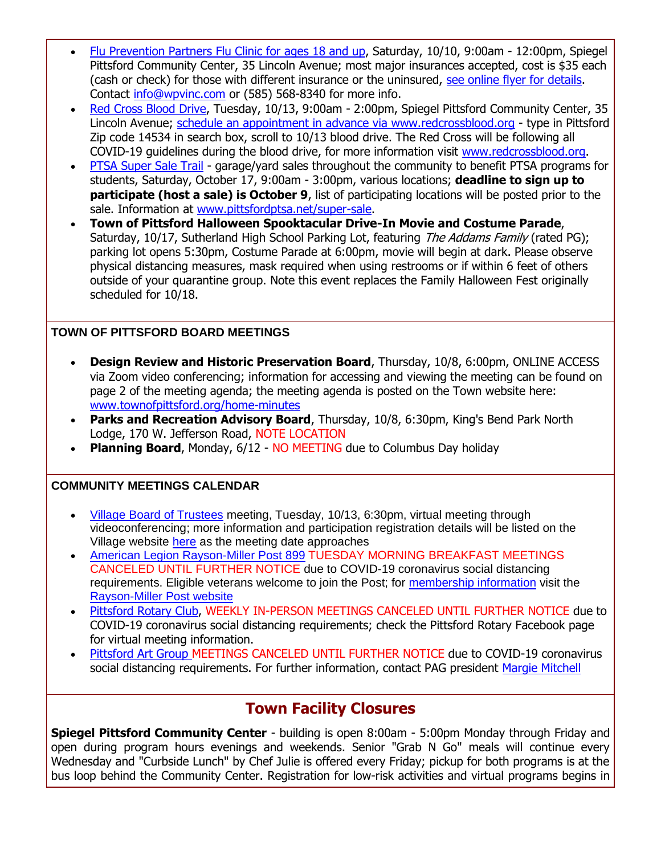- [Flu Prevention Partners Flu Clinic for ages 18 and up,](http://r20.rs6.net/tn.jsp?f=001qlQZPfoHCW1xXDq_IeVlvZRXjx5gV7h-pSffLpKKkJAdgCV3LUbmGN2hIPnDSVbICufniruEmf0fUtRyr4JDJJ6ZW3E3W3AFJzZyWxXKuqWL9YbGpPmGmDViIuJNy9PfLJOPxzeffPR4qbpjKr1LG3KvHANtsHoyKYPb_w6swkBUOfLZ36u5J8JWbTh9_G5DDz3E-2rsp2j3-2jxuZL0qSdcgsJxyaCMABlCuxlvX7lYAJ98TKLdWiTGEU4x89JBCkzFEs7iXxg1T3v2LmvNd_ejAWPqZ1dwZfXHfHG6KcXogQZYQcxVdeZ53mQLiDT6vHshMTmavVtYgibDqJS8OaplP7n6se5r194qUdcX9BfvF1uk2ryY6M5y8lag3D-4CcfOVrrU1NPMTBlauJYfpTr3m_6_aFDkScQI4CX3cPStmp4QlPKer_fxBdQQdRr-t2tbChcwD6cOnId2QroZbaftv-hwfsgUK0c3PGavfbs=&c=_T1CWrkKXxsixnCj4x-CFnCvw8u8LcB70kcUjERxFVonA27sbzmDsA==&ch=p6Pgl45WiMeuQAxbQCatoM31VhALCDBz8HxpaRCxc-a67IhheIx4Ug==) Saturday, 10/10, 9:00am 12:00pm, Spiegel Pittsford Community Center, 35 Lincoln Avenue; most major insurances accepted, cost is \$35 each (cash or check) for those with different insurance or the uninsured, [see online flyer for details.](http://r20.rs6.net/tn.jsp?f=001qlQZPfoHCW1xXDq_IeVlvZRXjx5gV7h-pSffLpKKkJAdgCV3LUbmGN2hIPnDSVbICufniruEmf0fUtRyr4JDJJ6ZW3E3W3AFJzZyWxXKuqWL9YbGpPmGmDViIuJNy9PfLJOPxzeffPR4qbpjKr1LG3KvHANtsHoyKYPb_w6swkBUOfLZ36u5J8JWbTh9_G5DDz3E-2rsp2j3-2jxuZL0qSdcgsJxyaCMABlCuxlvX7lYAJ98TKLdWiTGEU4x89JBCkzFEs7iXxg1T3v2LmvNd_ejAWPqZ1dwZfXHfHG6KcXogQZYQcxVdeZ53mQLiDT6vHshMTmavVtYgibDqJS8OaplP7n6se5r194qUdcX9BfvF1uk2ryY6M5y8lag3D-4CcfOVrrU1NPMTBlauJYfpTr3m_6_aFDkScQI4CX3cPStmp4QlPKer_fxBdQQdRr-t2tbChcwD6cOnId2QroZbaftv-hwfsgUK0c3PGavfbs=&c=_T1CWrkKXxsixnCj4x-CFnCvw8u8LcB70kcUjERxFVonA27sbzmDsA==&ch=p6Pgl45WiMeuQAxbQCatoM31VhALCDBz8HxpaRCxc-a67IhheIx4Ug==) Contact [info@wpvinc.com](mailto:info@wpvinc.com) or (585) 568-8340 for more info.
- [Red Cross Blood Drive,](http://r20.rs6.net/tn.jsp?f=001qlQZPfoHCW1xXDq_IeVlvZRXjx5gV7h-pSffLpKKkJAdgCV3LUbmGPvYaQzkzA1qqE36jDFDe0-b0gppEjGlVojOVL5Wr_M21QxD0yCODvk6cQ60AolFlVybZ_O7K3RkwI1KBGHz3dq9Hs7BgO3rh_I-CIpuJLLGSDm_auZuAusNfAv3jvXygfcxdBENE0m9XGiPr3dmbOevGciovQUlQq8YSIuRcne0gxXJ6DZkOFTLPl-ciIHGKOjz_g2N-Fk3y5W4g7eytMxNkLYYlIJx2HmwBTaNaEpmixex-C8ejho=&c=_T1CWrkKXxsixnCj4x-CFnCvw8u8LcB70kcUjERxFVonA27sbzmDsA==&ch=p6Pgl45WiMeuQAxbQCatoM31VhALCDBz8HxpaRCxc-a67IhheIx4Ug==) Tuesday, 10/13, 9:00am 2:00pm, Spiegel Pittsford Community Center, 35 Lincoln Avenue; [schedule an appointment in advance via www.redcrossblood.org](http://r20.rs6.net/tn.jsp?f=001qlQZPfoHCW1xXDq_IeVlvZRXjx5gV7h-pSffLpKKkJAdgCV3LUbmGPvYaQzkzA1qqE36jDFDe0-b0gppEjGlVojOVL5Wr_M21QxD0yCODvk6cQ60AolFlVybZ_O7K3RkwI1KBGHz3dq9Hs7BgO3rh_I-CIpuJLLGSDm_auZuAusNfAv3jvXygfcxdBENE0m9XGiPr3dmbOevGciovQUlQq8YSIuRcne0gxXJ6DZkOFTLPl-ciIHGKOjz_g2N-Fk3y5W4g7eytMxNkLYYlIJx2HmwBTaNaEpmixex-C8ejho=&c=_T1CWrkKXxsixnCj4x-CFnCvw8u8LcB70kcUjERxFVonA27sbzmDsA==&ch=p6Pgl45WiMeuQAxbQCatoM31VhALCDBz8HxpaRCxc-a67IhheIx4Ug==) - type in Pittsford Zip code 14534 in search box, scroll to 10/13 blood drive. The Red Cross will be following all COVID-19 guidelines during the blood drive, for more information visit [www.redcrossblood.org.](http://www.redcrossblood.org/)
- [PTSA Super Sale Trail](http://r20.rs6.net/tn.jsp?f=001qlQZPfoHCW1xXDq_IeVlvZRXjx5gV7h-pSffLpKKkJAdgCV3LUbmGBATRrnVt0FhJsmV6RdOR0TXbUQFRhB1hPhPCEnoV6P0NHb_bUa31wvyO72PzTZmND88qPVQgnwSKxD_mqi_ot2f4DnSIC9T8PBN_3SfxbjYN9eP9vd_r_GdltBw_8zwCo2o_ftaKqbqWgBD8slfuPJvKyOL5Ljxuh-o2EqIy1DM6calpNaKGCi-Hcr2cixrX8mRJAx_hoJj3yZM7CLd6KTO4gXcbJHodtkRRMdNlGjh2erzjLd71hr85R7_5rL_oA==&c=_T1CWrkKXxsixnCj4x-CFnCvw8u8LcB70kcUjERxFVonA27sbzmDsA==&ch=p6Pgl45WiMeuQAxbQCatoM31VhALCDBz8HxpaRCxc-a67IhheIx4Ug==) garage/yard sales throughout the community to benefit PTSA programs for students, Saturday, October 17, 9:00am - 3:00pm, various locations; **deadline to sign up to participate (host a sale) is October 9**, list of participating locations will be posted prior to the sale. Information at [www.pittsfordptsa.net/super-sale.](http://r20.rs6.net/tn.jsp?f=001qlQZPfoHCW1xXDq_IeVlvZRXjx5gV7h-pSffLpKKkJAdgCV3LUbmGBATRrnVt0FhJsmV6RdOR0TXbUQFRhB1hPhPCEnoV6P0NHb_bUa31wvyO72PzTZmND88qPVQgnwSKxD_mqi_ot2f4DnSIC9T8PBN_3SfxbjYN9eP9vd_r_GdltBw_8zwCo2o_ftaKqbqWgBD8slfuPJvKyOL5Ljxuh-o2EqIy1DM6calpNaKGCi-Hcr2cixrX8mRJAx_hoJj3yZM7CLd6KTO4gXcbJHodtkRRMdNlGjh2erzjLd71hr85R7_5rL_oA==&c=_T1CWrkKXxsixnCj4x-CFnCvw8u8LcB70kcUjERxFVonA27sbzmDsA==&ch=p6Pgl45WiMeuQAxbQCatoM31VhALCDBz8HxpaRCxc-a67IhheIx4Ug==)
- **Town of Pittsford Halloween Spooktacular Drive-In Movie and Costume Parade**, Saturday, 10/17, Sutherland High School Parking Lot, featuring The Addams Family (rated PG); parking lot opens 5:30pm, Costume Parade at 6:00pm, movie will begin at dark. Please observe physical distancing measures, mask required when using restrooms or if within 6 feet of others outside of your quarantine group. Note this event replaces the Family Halloween Fest originally scheduled for 10/18.

#### **TOWN OF PITTSFORD BOARD MEETINGS**

- **Design Review and Historic Preservation Board**, Thursday, 10/8, 6:00pm, ONLINE ACCESS via Zoom video conferencing; information for accessing and viewing the meeting can be found on page 2 of the meeting agenda; the meeting agenda is posted on the Town website here: [www.townofpittsford.org/home-minutes](http://r20.rs6.net/tn.jsp?f=001qlQZPfoHCW1xXDq_IeVlvZRXjx5gV7h-pSffLpKKkJAdgCV3LUbmGD_ShK2MpsspkMI-mApXegV2HZF4-QbiYM4A6Zs_wR7xgzbcBixiH7p3kQTn2oDLsHkdlS0KpnbrCAYEx1aqZZUkO4ubryLZRop97IvBmLilZm_EproKq-CLcs7kgxbPlwa2KuECqnqFtn01PAXzOGK3BOKc6GRZHwYQ4GaOb3LTbHTvuFKk0zPX2IowrPB5PWujyTLy03XJS1NJiSQ3ACD3IbKgdgB62iMp4pFPGfHmT8KctrEvqOHDsokytamTOw==&c=_T1CWrkKXxsixnCj4x-CFnCvw8u8LcB70kcUjERxFVonA27sbzmDsA==&ch=p6Pgl45WiMeuQAxbQCatoM31VhALCDBz8HxpaRCxc-a67IhheIx4Ug==)
- **Parks and Recreation Advisory Board**, Thursday, 10/8, 6:30pm, King's Bend Park North Lodge, 170 W. Jefferson Road, NOTE LOCATION
- **Planning Board**, Monday, 6/12 NO MEETING due to Columbus Day holiday

#### **COMMUNITY MEETINGS CALENDAR**

- [Village Board of Trustees](http://r20.rs6.net/tn.jsp?f=001qlQZPfoHCW1xXDq_IeVlvZRXjx5gV7h-pSffLpKKkJAdgCV3LUbmGN2hIPnDSVbIZ83YOPcxClSMd_RNsr5DQjfMGYw5ogE6GWxecQsQxdWLbdcs9VXiwRaXia9Rn2fsiwajHFHS8vsD29opZjlXLHAuCwRd7tIVqskR7sY9-xKt4rIYLAMrsC7Pl7r_L0aXg7pTyF0VPZall8YpvzeBgXVFxaO0wmx2luj52cDIif_9YztNpYD44ceICS4ooyHGYVewONPQUk4i1hPSJ1ZeM3RgzKehzlFfpmhy2RKC-UeTcr2rQtpVZ4T2qcV6bGQsmw0xxeIj0nU0UudxrUkHMlvCTzd_NQSuoGbomKiSgGmO98x6uZoAaV1kXFQkFCGIiz0dWHksT9z3z6HPFw1732q-bP3NN4LNLdl-1XVHr1WmpvNrHidmNA==&c=_T1CWrkKXxsixnCj4x-CFnCvw8u8LcB70kcUjERxFVonA27sbzmDsA==&ch=p6Pgl45WiMeuQAxbQCatoM31VhALCDBz8HxpaRCxc-a67IhheIx4Ug==) meeting, Tuesday, 10/13, 6:30pm, virtual meeting through videoconferencing; more information and participation registration details will be listed on the Village website [here](http://r20.rs6.net/tn.jsp?f=001qlQZPfoHCW1xXDq_IeVlvZRXjx5gV7h-pSffLpKKkJAdgCV3LUbmGN2hIPnDSVbIZ83YOPcxClSMd_RNsr5DQjfMGYw5ogE6GWxecQsQxdWLbdcs9VXiwRaXia9Rn2fsiwajHFHS8vsD29opZjlXLHAuCwRd7tIVqskR7sY9-xKt4rIYLAMrsC7Pl7r_L0aXg7pTyF0VPZall8YpvzeBgXVFxaO0wmx2luj52cDIif_9YztNpYD44ceICS4ooyHGYVewONPQUk4i1hPSJ1ZeM3RgzKehzlFfpmhy2RKC-UeTcr2rQtpVZ4T2qcV6bGQsmw0xxeIj0nU0UudxrUkHMlvCTzd_NQSuoGbomKiSgGmO98x6uZoAaV1kXFQkFCGIiz0dWHksT9z3z6HPFw1732q-bP3NN4LNLdl-1XVHr1WmpvNrHidmNA==&c=_T1CWrkKXxsixnCj4x-CFnCvw8u8LcB70kcUjERxFVonA27sbzmDsA==&ch=p6Pgl45WiMeuQAxbQCatoM31VhALCDBz8HxpaRCxc-a67IhheIx4Ug==) as the meeting date approaches
- [American Legion Rayson-Miller Post 899](http://r20.rs6.net/tn.jsp?f=001qlQZPfoHCW1xXDq_IeVlvZRXjx5gV7h-pSffLpKKkJAdgCV3LUbmGITqLEogk9nq9TxKFaU1KR80bzI3xdkJEf3QggISzLvfaYzQ9LLmGL5MYrhsBxicDUYX5lvhHJLZpxJaLwql1lx7eEjhrHObI89G5ltcQ1uSD__ju_weG6rSdwe-XTed-B3NKNQLCa1QC_Dmei92C3fr5BRDVVA67Aa9g2Lr4xqm-Oe3IKX-dQalkEaYtBCW2vwdIycvjWvILzSGvBz3Tu0-haT3a1i82ZS-5r0DY6DTSc3Ms8wt5ik2Pu-v7Bhyzw==&c=_T1CWrkKXxsixnCj4x-CFnCvw8u8LcB70kcUjERxFVonA27sbzmDsA==&ch=p6Pgl45WiMeuQAxbQCatoM31VhALCDBz8HxpaRCxc-a67IhheIx4Ug==) TUESDAY MORNING BREAKFAST MEETINGS CANCELED UNTIL FURTHER NOTICE due to COVID-19 coronavirus social distancing requirements. Eligible veterans welcome to join the Post; for [membership information](http://r20.rs6.net/tn.jsp?f=001qlQZPfoHCW1xXDq_IeVlvZRXjx5gV7h-pSffLpKKkJAdgCV3LUbmGITqLEogk9nq9FzAFkUVQ-nc24-R-vhPYdzNo5a3CmsQY5aFsvKylr_iiYouWTpQ45iCOx1XWUuAc334V71qb4ui6vA7P_ekrfpGdoWkIVjwCz9gS9uVod9eMtwcJd2tWpy-xvURpZMQvo2cMHpQdABBcjgxGEIM6snPgQEyl8lR3ncBeA1U9n3JUSOi2ulAWbJ6ZroE8kI6yOEsHgGwQc99ENNV6eS3ALTflt9A7Duwdj2sgScyrZsyUhvAFdHADobMNe8EgS8UFqss4Tz4DCM=&c=_T1CWrkKXxsixnCj4x-CFnCvw8u8LcB70kcUjERxFVonA27sbzmDsA==&ch=p6Pgl45WiMeuQAxbQCatoM31VhALCDBz8HxpaRCxc-a67IhheIx4Ug==) visit the [Rayson-Miller Post website](http://r20.rs6.net/tn.jsp?f=001qlQZPfoHCW1xXDq_IeVlvZRXjx5gV7h-pSffLpKKkJAdgCV3LUbmGHdRX50CsCkgDdKjHaBNRzvVgbKqr7SmA-dLdoAAqMmItiQL4EUBwCWKDvDTgskuZTHwy8PHEA_FELhiymsGcGhix1yIvzlMqt0Aitgqa4LD07WwDPAutNaK5s1kj5tjlovYzGskKYHT8-N9F-k8zEkM-dm8LFDI09dzY2nmzpceDnjLC2KPPZ277wpDoazGwj6dAG3554kBiBwIMuHVQdBvjYpFExzEmB0n0Am8_TUpp1nVVRJKd5kgbi0kPmlntTzmSk8TCa17MTb59-porkYD3bQSe7YFPc9nj_2Q-IXuKcsbuLImxEUDLdolS9TLSLGwe7TuS03I_cQWlj2xYSE=&c=_T1CWrkKXxsixnCj4x-CFnCvw8u8LcB70kcUjERxFVonA27sbzmDsA==&ch=p6Pgl45WiMeuQAxbQCatoM31VhALCDBz8HxpaRCxc-a67IhheIx4Ug==)
- [Pittsford Rotary Club,](http://r20.rs6.net/tn.jsp?f=001qlQZPfoHCW1xXDq_IeVlvZRXjx5gV7h-pSffLpKKkJAdgCV3LUbmGD_ShK2MpsspMz_6l9cxNaDn8OL_wz1WVE5d2qQFz9mio7PHUyXMk2bIM6IyF-d8EKnjHltlEW7P7JeYpaZveTXTa7qRAqHpB1BFvXa5_JMFPDtm_SvnBGJCcdH0SrxmY9SRkJyVEQz08c9b5YYomEjkax_uNddKYatsvNysGcpG2d9YAcoZU45xu2cFeQeILegeCPrEX9fOpjqpjfB3Jv8Q9mPepSDY-fMsErziV7hsIDF0lJl9LHY=&c=_T1CWrkKXxsixnCj4x-CFnCvw8u8LcB70kcUjERxFVonA27sbzmDsA==&ch=p6Pgl45WiMeuQAxbQCatoM31VhALCDBz8HxpaRCxc-a67IhheIx4Ug==) WEEKLY IN-PERSON MEETINGS CANCELED UNTIL FURTHER NOTICE due to COVID-19 coronavirus social distancing requirements; check the Pittsford Rotary Facebook page for virtual meeting information.
- [Pittsford Art Group M](https://pittsfordartgroup.wordpress.com/?utm_source=eNews+10-7-20&utm_campaign=eNews+10-07-20&utm_medium=email)EETINGS CANCELED UNTIL FURTHER NOTICE due to COVID-19 coronavirus social distancing requirements. For further information, contact PAG president [Margie Mitchell](mailto:mhsmitchell@gmail.com?subject=Pittsford%20Art%20Group%20Meetings%20and%20Membership)

# **Town Facility Closures**

**Spiegel Pittsford Community Center** - building is open 8:00am - 5:00pm Monday through Friday and open during program hours evenings and weekends. Senior "Grab N Go" meals will continue every Wednesday and "Curbside Lunch" by Chef Julie is offered every Friday; pickup for both programs is at the bus loop behind the Community Center. Registration for low-risk activities and virtual programs begins in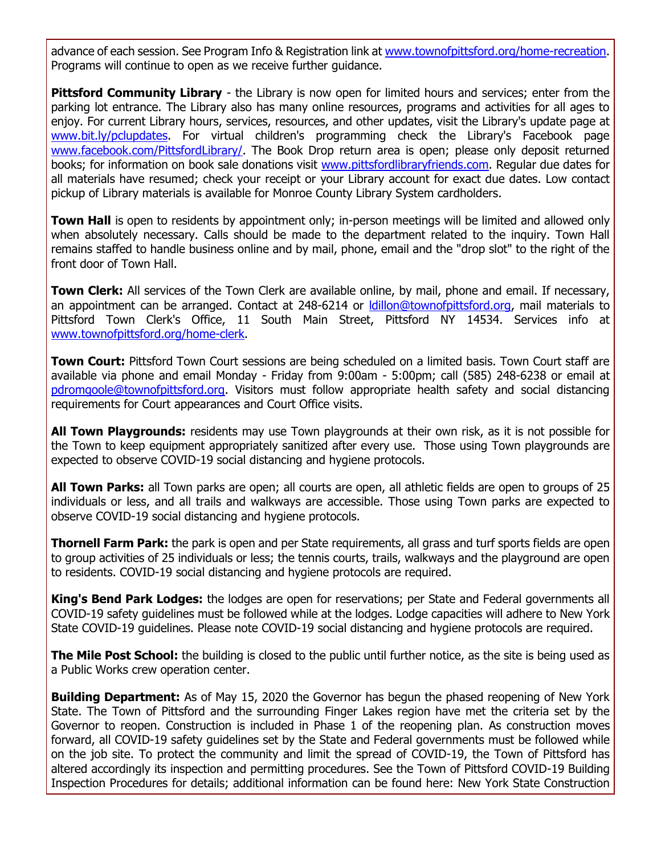advance of each session. See Program Info & Registration link at [www.townofpittsford.org/home-recreation.](http://r20.rs6.net/tn.jsp?f=001qlQZPfoHCW1xXDq_IeVlvZRXjx5gV7h-pSffLpKKkJAdgCV3LUbmGOh7aLOqFnqaZyq8nzuYY1JvAfOHdN_Kj2MIcxDkSQX48JoE9MoxzWH_jrwdTWSYELVj0eIDwhYSX3eU_OXPIm06AfmebrLhPqcdFLFE-N1Ny4rQAEwZN2OQfqCnio4dxgP04TBIMB5ysQtcMBBNkjbIn6NyCUn_0cjpsXqlpL9q5Oed-ZAhXp5inz10FrXvTsGEyQFmWnkAcePEWeUtdS8Gp6a7zqRV9F4bB3xc65nc4Qgj43Dn1T-HKDJEbQtSYjSJI5Kz-1Wf&c=_T1CWrkKXxsixnCj4x-CFnCvw8u8LcB70kcUjERxFVonA27sbzmDsA==&ch=p6Pgl45WiMeuQAxbQCatoM31VhALCDBz8HxpaRCxc-a67IhheIx4Ug==) Programs will continue to open as we receive further guidance.

**Pittsford Community Library** - the Library is now open for limited hours and services; enter from the parking lot entrance. The Library also has many online resources, programs and activities for all ages to enjoy. For current Library hours, services, resources, and other updates, visit the Library's update page at [www.bit.ly/pclupdates.](http://r20.rs6.net/tn.jsp?f=001qlQZPfoHCW1xXDq_IeVlvZRXjx5gV7h-pSffLpKKkJAdgCV3LUbmGPw42JZXoNb--13UzDcyy9sgwbY0Ofa1R4ndGpaNB9F5QOAHix5MDmMlNUtX21Fch749fdMtnm7WtjtXktczSjMh5xjqn-XaSZLthB4VBtVX8pMbXnnFdP16j8atgnldFsLbNqhUNqw2FmUiEC_RRKo8Fhqo471vFB-W9F7pyXWD0ojtjRLhohE3yhqUA1QiHGV4M1jeaEGAxmRlPALIA-i_ga-h-eYo4U1XCxOPp2PrSEI6YQXAeC4=&c=_T1CWrkKXxsixnCj4x-CFnCvw8u8LcB70kcUjERxFVonA27sbzmDsA==&ch=p6Pgl45WiMeuQAxbQCatoM31VhALCDBz8HxpaRCxc-a67IhheIx4Ug==) For virtual children's programming check the Library's Facebook page [www.facebook.com/PittsfordLibrary/.](http://r20.rs6.net/tn.jsp?f=001qlQZPfoHCW1xXDq_IeVlvZRXjx5gV7h-pSffLpKKkJAdgCV3LUbmGPo1PoJx57ZKldNWZy9fchzt5Rqe3HGQwYIqZKJxLIvt4ruryfXYPtxspp4bilZqNMS7EWLpV7f0VXM4-fAJ1OIiboZHPewdzFnztSs7Q8z4-lOguCH_VFk50FoX4yS5zGmBV98hUJNna7uFx1qZ3cE=&c=_T1CWrkKXxsixnCj4x-CFnCvw8u8LcB70kcUjERxFVonA27sbzmDsA==&ch=p6Pgl45WiMeuQAxbQCatoM31VhALCDBz8HxpaRCxc-a67IhheIx4Ug==) The Book Drop return area is open; please only deposit returned books; for information on book sale donations visit [www.pittsfordlibraryfriends.com.](http://r20.rs6.net/tn.jsp?f=001qlQZPfoHCW1xXDq_IeVlvZRXjx5gV7h-pSffLpKKkJAdgCV3LUbmGOSqILyPD7lKpjEsa4OAQCP6ntS9jB9Mkkp5vFH144XUY8RtixPdF7YnAgL6les2Q2seJQtPRQ5lB5gRCEXbMcJfvPMtbJJU6i2M5fsvgzM-R2Q1xQAswU6I3-DzuMeAKaysIllblSX8HRXON_ot2ZigCJFoBFKCN90eZ_xydZY6q46xz9ZZ915JxCdRxXRnQsz-ILFnMP5brbTF637aVUj10oHN5eP_Ah6J9E9Pw3NvRdRUBQ5WCScAo1dD_g_7eQ==&c=_T1CWrkKXxsixnCj4x-CFnCvw8u8LcB70kcUjERxFVonA27sbzmDsA==&ch=p6Pgl45WiMeuQAxbQCatoM31VhALCDBz8HxpaRCxc-a67IhheIx4Ug==) Regular due dates for all materials have resumed; check your receipt or your Library account for exact due dates. Low contact pickup of Library materials is available for Monroe County Library System cardholders.

**Town Hall** is open to residents by appointment only; in-person meetings will be limited and allowed only when absolutely necessary. Calls should be made to the department related to the inquiry. Town Hall remains staffed to handle business online and by mail, phone, email and the "drop slot" to the right of the front door of Town Hall.

**Town Clerk:** All services of the Town Clerk are available online, by mail, phone and email. If necessary, an appointment can be arranged. Contact at 248-6214 or Idillon@townofpittsford.org, mail materials to Pittsford Town Clerk's Office, 11 South Main Street, Pittsford NY 14534. Services info at [www.townofpittsford.org/home-clerk.](http://r20.rs6.net/tn.jsp?f=001qlQZPfoHCW1xXDq_IeVlvZRXjx5gV7h-pSffLpKKkJAdgCV3LUbmGEW7496OAA2MNuQ6L78D6beq2IxGFWDRNgK2P5v23aNvZFKdLxsP6G9vqUp6O3WSwC_cR299nUZF6i4HqrZ6Nk2EnQXACJuHPv_oGO_TbG-wGr6uwBQ5vVjU7gWH8GQ7Xjj8lM7NpMTCYP5KofgKmWH0VY4jVQbufW2qbrziMWMOBVKRZMryF6t6_RfVkx5XvrvAE1Uu1l7a4Qok50Y5OLaqtLvcs1wuMkjHyxZSda8ZXEQ0JimfqxYZa9yJkkmpfQ==&c=_T1CWrkKXxsixnCj4x-CFnCvw8u8LcB70kcUjERxFVonA27sbzmDsA==&ch=p6Pgl45WiMeuQAxbQCatoM31VhALCDBz8HxpaRCxc-a67IhheIx4Ug==)

**Town Court:** Pittsford Town Court sessions are being scheduled on a limited basis. Town Court staff are available via phone and email Monday - Friday from 9:00am - 5:00pm; call (585) 248-6238 or email at [pdromgoole@townofpittsford.org.](mailto:pdromgoole@townofpittsford.org) Visitors must follow appropriate health safety and social distancing requirements for Court appearances and Court Office visits.

**All Town Playgrounds:** residents may use Town playgrounds at their own risk, as it is not possible for the Town to keep equipment appropriately sanitized after every use. Those using Town playgrounds are expected to observe COVID-19 social distancing and hygiene protocols.

**All Town Parks:** all Town parks are open; all courts are open, all athletic fields are open to groups of 25 individuals or less, and all trails and walkways are accessible. Those using Town parks are expected to observe COVID-19 social distancing and hygiene protocols.

**Thornell Farm Park:** the park is open and per State requirements, all grass and turf sports fields are open to group activities of 25 individuals or less; the tennis courts, trails, walkways and the playground are open to residents. COVID-19 social distancing and hygiene protocols are required.

**King's Bend Park Lodges:** the lodges are open for reservations; per State and Federal governments all COVID-19 safety guidelines must be followed while at the lodges. Lodge capacities will adhere to New York State COVID-19 guidelines. Please note COVID-19 social distancing and hygiene protocols are required.

**The Mile Post School:** the building is closed to the public until further notice, as the site is being used as a Public Works crew operation center.

**Building Department:** As of May 15, 2020 the Governor has begun the phased reopening of New York State. The Town of Pittsford and the surrounding Finger Lakes region have met the criteria set by the Governor to reopen. Construction is included in Phase 1 of the reopening plan. As construction moves forward, all COVID-19 safety guidelines set by the State and Federal governments must be followed while on the job site. To protect the community and limit the spread of COVID-19, the Town of Pittsford has altered accordingly its inspection and permitting procedures. See the Town of Pittsford COVID-19 Building Inspection Procedures for details; additional information can be found here: New York State Construction